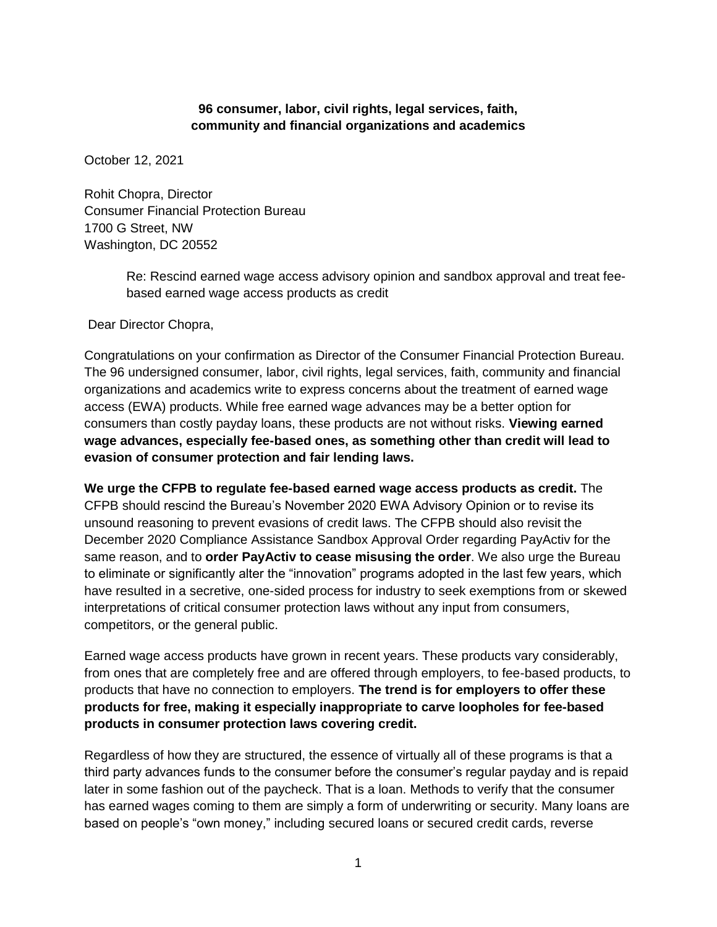## **96 consumer, labor, civil rights, legal services, faith, community and financial organizations and academics**

October 12, 2021

Rohit Chopra, Director Consumer Financial Protection Bureau 1700 G Street, NW Washington, DC 20552

> Re: Rescind earned wage access advisory opinion and sandbox approval and treat feebased earned wage access products as credit

Dear Director Chopra,

Congratulations on your confirmation as Director of the Consumer Financial Protection Bureau. The 96 undersigned consumer, labor, civil rights, legal services, faith, community and financial organizations and academics write to express concerns about the treatment of earned wage access (EWA) products. While free earned wage advances may be a better option for consumers than costly payday loans, these products are not without risks. **Viewing earned wage advances, especially fee-based ones, as something other than credit will lead to evasion of consumer protection and fair lending laws.**

**We urge the CFPB to regulate fee-based earned wage access products as credit.** The CFPB should rescind the Bureau's November 2020 EWA Advisory Opinion or to revise its unsound reasoning to prevent evasions of credit laws. The CFPB should also revisit the December 2020 Compliance Assistance Sandbox Approval Order regarding PayActiv for the same reason, and to **order PayActiv to cease misusing the order**. We also urge the Bureau to eliminate or significantly alter the "innovation" programs adopted in the last few years, which have resulted in a secretive, one-sided process for industry to seek exemptions from or skewed interpretations of critical consumer protection laws without any input from consumers, competitors, or the general public.

Earned wage access products have grown in recent years. These products vary considerably, from ones that are completely free and are offered through employers, to fee-based products, to products that have no connection to employers. **The trend is for employers to offer these products for free, making it especially inappropriate to carve loopholes for fee-based products in consumer protection laws covering credit.**

Regardless of how they are structured, the essence of virtually all of these programs is that a third party advances funds to the consumer before the consumer's regular payday and is repaid later in some fashion out of the paycheck. That is a loan. Methods to verify that the consumer has earned wages coming to them are simply a form of underwriting or security. Many loans are based on people's "own money," including secured loans or secured credit cards, reverse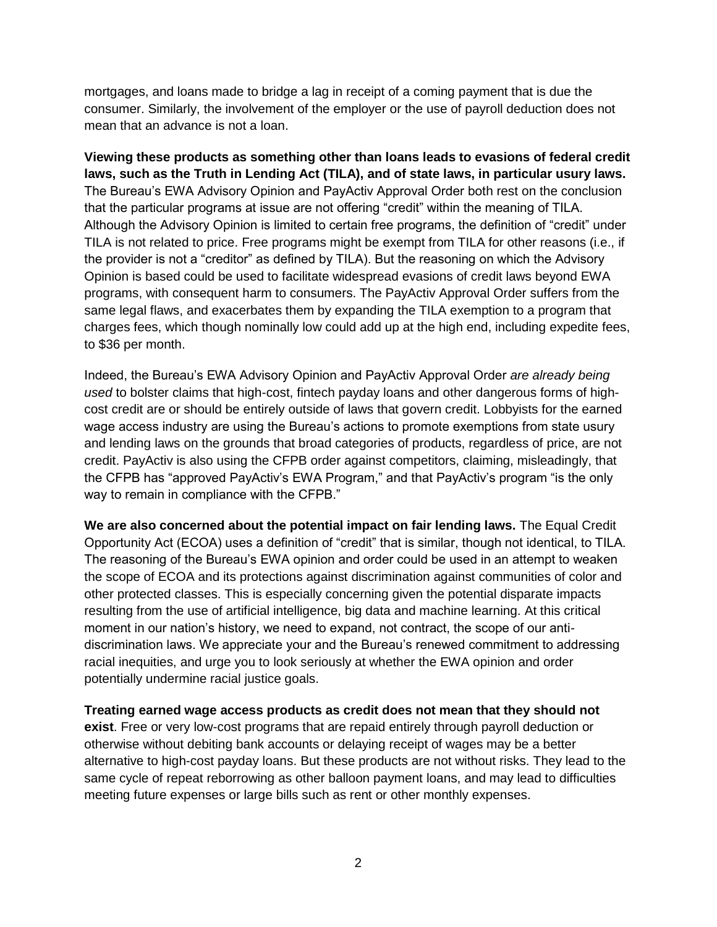mortgages, and loans made to bridge a lag in receipt of a coming payment that is due the consumer. Similarly, the involvement of the employer or the use of payroll deduction does not mean that an advance is not a loan.

**Viewing these products as something other than loans leads to evasions of federal credit laws, such as the Truth in Lending Act (TILA), and of state laws, in particular usury laws.** The Bureau's EWA Advisory Opinion and PayActiv Approval Order both rest on the conclusion that the particular programs at issue are not offering "credit" within the meaning of TILA. Although the Advisory Opinion is limited to certain free programs, the definition of "credit" under TILA is not related to price. Free programs might be exempt from TILA for other reasons (i.e., if the provider is not a "creditor" as defined by TILA). But the reasoning on which the Advisory Opinion is based could be used to facilitate widespread evasions of credit laws beyond EWA programs, with consequent harm to consumers. The PayActiv Approval Order suffers from the same legal flaws, and exacerbates them by expanding the TILA exemption to a program that charges fees, which though nominally low could add up at the high end, including expedite fees, to \$36 per month.

Indeed, the Bureau's EWA Advisory Opinion and PayActiv Approval Order *are already being used* to bolster claims that high-cost, fintech payday loans and other dangerous forms of highcost credit are or should be entirely outside of laws that govern credit. Lobbyists for the earned wage access industry are using the Bureau's actions to promote exemptions from state usury and lending laws on the grounds that broad categories of products, regardless of price, are not credit. PayActiv is also using the CFPB order against competitors, claiming, misleadingly, that the CFPB has "approved PayActiv's EWA Program," and that PayActiv's program "is the only way to remain in compliance with the CFPB."

**We are also concerned about the potential impact on fair lending laws.** The Equal Credit Opportunity Act (ECOA) uses a definition of "credit" that is similar, though not identical, to TILA. The reasoning of the Bureau's EWA opinion and order could be used in an attempt to weaken the scope of ECOA and its protections against discrimination against communities of color and other protected classes. This is especially concerning given the potential disparate impacts resulting from the use of artificial intelligence, big data and machine learning. At this critical moment in our nation's history, we need to expand, not contract, the scope of our antidiscrimination laws. We appreciate your and the Bureau's renewed commitment to addressing racial inequities, and urge you to look seriously at whether the EWA opinion and order potentially undermine racial justice goals.

**Treating earned wage access products as credit does not mean that they should not exist**. Free or very low-cost programs that are repaid entirely through payroll deduction or otherwise without debiting bank accounts or delaying receipt of wages may be a better alternative to high-cost payday loans. But these products are not without risks. They lead to the same cycle of repeat reborrowing as other balloon payment loans, and may lead to difficulties meeting future expenses or large bills such as rent or other monthly expenses.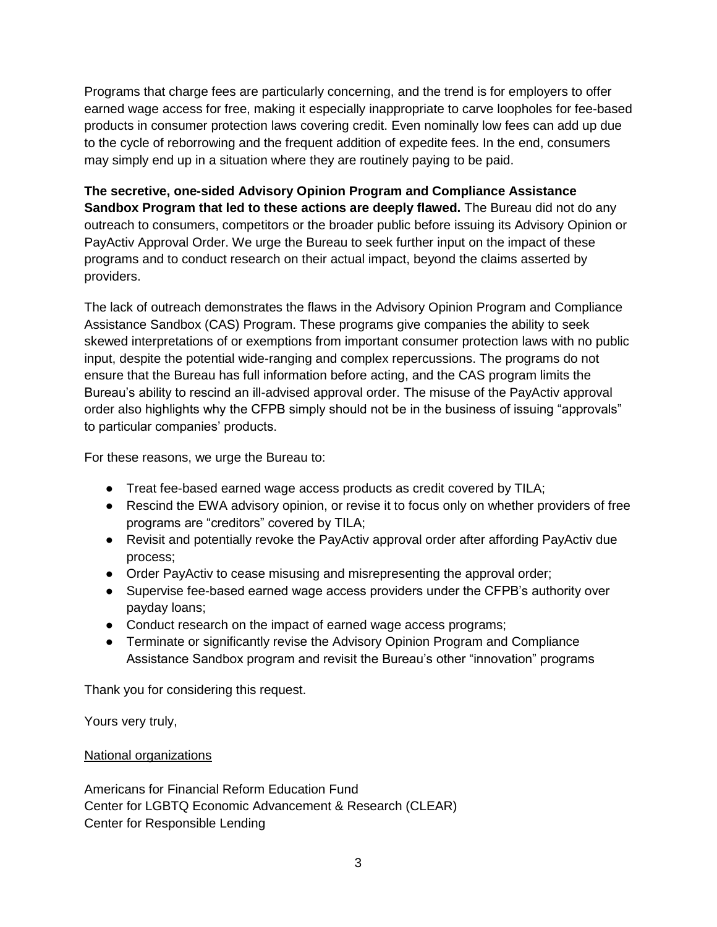Programs that charge fees are particularly concerning, and the trend is for employers to offer earned wage access for free, making it especially inappropriate to carve loopholes for fee-based products in consumer protection laws covering credit. Even nominally low fees can add up due to the cycle of reborrowing and the frequent addition of expedite fees. In the end, consumers may simply end up in a situation where they are routinely paying to be paid.

## **The secretive, one-sided Advisory Opinion Program and Compliance Assistance Sandbox Program that led to these actions are deeply flawed.** The Bureau did not do any outreach to consumers, competitors or the broader public before issuing its Advisory Opinion or PayActiv Approval Order. We urge the Bureau to seek further input on the impact of these programs and to conduct research on their actual impact, beyond the claims asserted by providers.

The lack of outreach demonstrates the flaws in the Advisory Opinion Program and Compliance Assistance Sandbox (CAS) Program. These programs give companies the ability to seek skewed interpretations of or exemptions from important consumer protection laws with no public input, despite the potential wide-ranging and complex repercussions. The programs do not ensure that the Bureau has full information before acting, and the CAS program limits the Bureau's ability to rescind an ill-advised approval order. The misuse of the PayActiv approval order also highlights why the CFPB simply should not be in the business of issuing "approvals" to particular companies' products.

For these reasons, we urge the Bureau to:

- Treat fee-based earned wage access products as credit covered by TILA;
- Rescind the EWA advisory opinion, or revise it to focus only on whether providers of free programs are "creditors" covered by TILA;
- Revisit and potentially revoke the PayActiv approval order after affording PayActiv due process;
- Order PayActiv to cease misusing and misrepresenting the approval order;
- Supervise fee-based earned wage access providers under the CFPB's authority over payday loans;
- Conduct research on the impact of earned wage access programs;
- Terminate or significantly revise the Advisory Opinion Program and Compliance Assistance Sandbox program and revisit the Bureau's other "innovation" programs

Thank you for considering this request.

Yours very truly,

## National organizations

Americans for Financial Reform Education Fund Center for LGBTQ Economic Advancement & Research (CLEAR) Center for Responsible Lending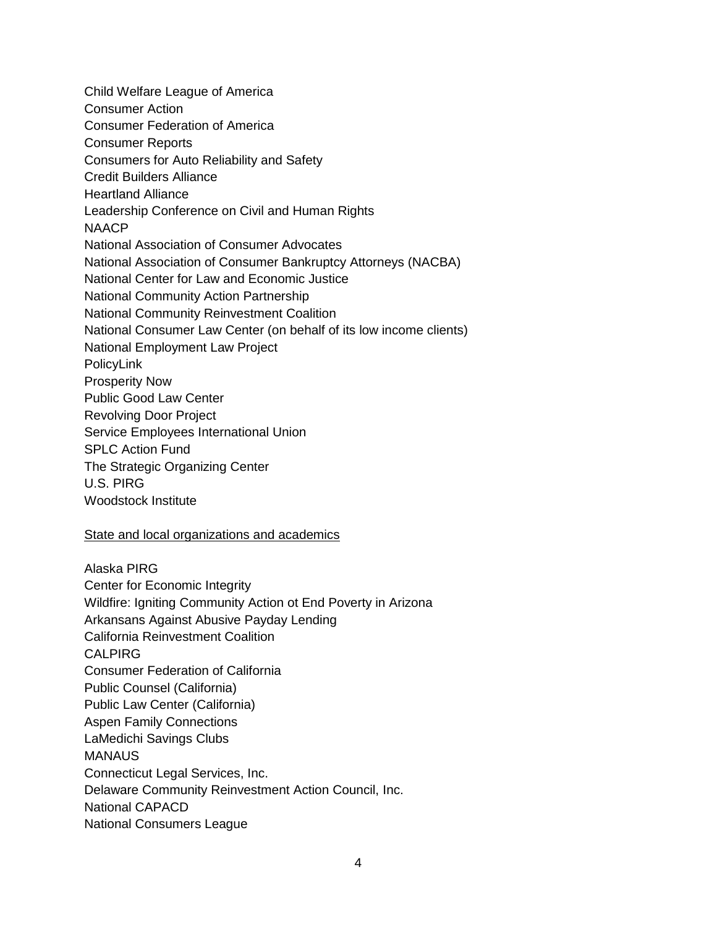Child Welfare League of America Consumer Action Consumer Federation of America Consumer Reports Consumers for Auto Reliability and Safety Credit Builders Alliance Heartland Alliance Leadership Conference on Civil and Human Rights NAACP National Association of Consumer Advocates National Association of Consumer Bankruptcy Attorneys (NACBA) National Center for Law and Economic Justice National Community Action Partnership National Community Reinvestment Coalition National Consumer Law Center (on behalf of its low income clients) National Employment Law Project PolicyLink Prosperity Now Public Good Law Center Revolving Door Project Service Employees International Union SPLC Action Fund The Strategic Organizing Center U.S. PIRG Woodstock Institute

## State and local organizations and academics

Alaska PIRG Center for Economic Integrity Wildfire: Igniting Community Action ot End Poverty in Arizona Arkansans Against Abusive Payday Lending California Reinvestment Coalition CALPIRG Consumer Federation of California Public Counsel (California) Public Law Center (California) Aspen Family Connections LaMedichi Savings Clubs **MANAUS** Connecticut Legal Services, Inc. Delaware Community Reinvestment Action Council, Inc. National CAPACD National Consumers League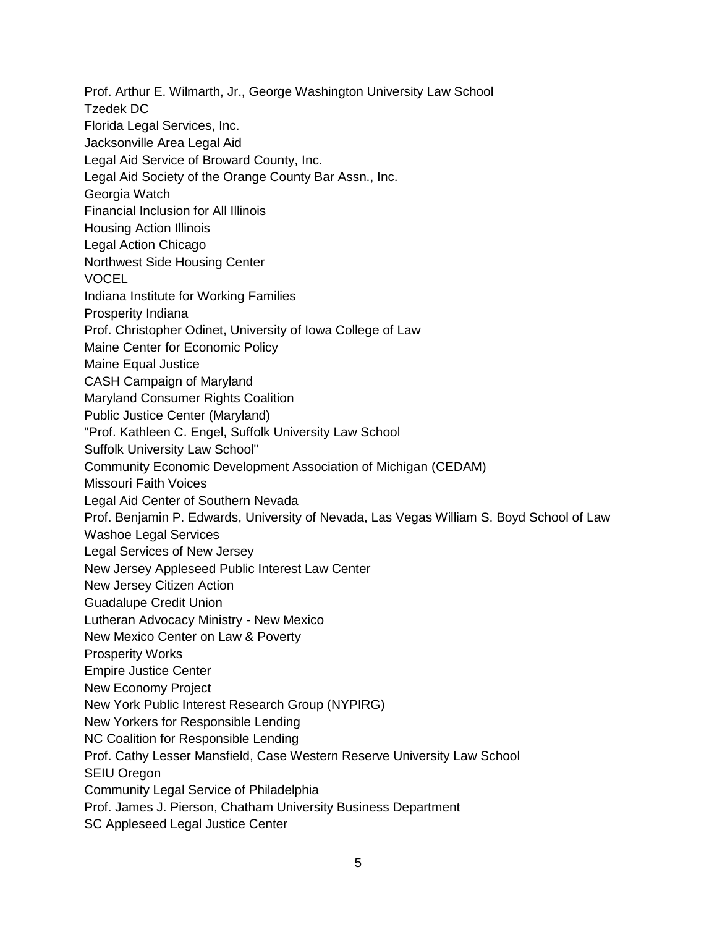Prof. Arthur E. Wilmarth, Jr., George Washington University Law School Tzedek DC Florida Legal Services, Inc. Jacksonville Area Legal Aid Legal Aid Service of Broward County, Inc. Legal Aid Society of the Orange County Bar Assn., Inc. Georgia Watch Financial Inclusion for All Illinois Housing Action Illinois Legal Action Chicago Northwest Side Housing Center VOCEL Indiana Institute for Working Families Prosperity Indiana Prof. Christopher Odinet, University of Iowa College of Law Maine Center for Economic Policy Maine Equal Justice CASH Campaign of Maryland Maryland Consumer Rights Coalition Public Justice Center (Maryland) "Prof. Kathleen C. Engel, Suffolk University Law School Suffolk University Law School" Community Economic Development Association of Michigan (CEDAM) Missouri Faith Voices Legal Aid Center of Southern Nevada Prof. Benjamin P. Edwards, University of Nevada, Las Vegas William S. Boyd School of Law Washoe Legal Services Legal Services of New Jersey New Jersey Appleseed Public Interest Law Center New Jersey Citizen Action Guadalupe Credit Union Lutheran Advocacy Ministry - New Mexico New Mexico Center on Law & Poverty Prosperity Works Empire Justice Center New Economy Project New York Public Interest Research Group (NYPIRG) New Yorkers for Responsible Lending NC Coalition for Responsible Lending Prof. Cathy Lesser Mansfield, Case Western Reserve University Law School SEIU Oregon Community Legal Service of Philadelphia Prof. James J. Pierson, Chatham University Business Department SC Appleseed Legal Justice Center

5